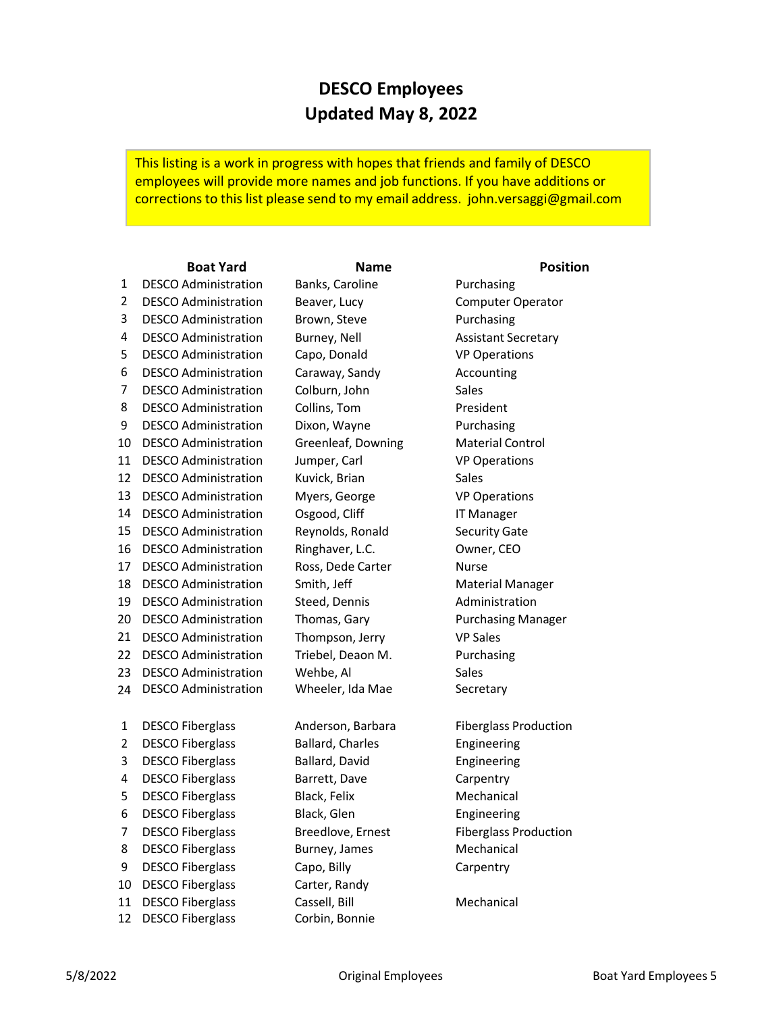## **DESCO Employees Updated May 8, 2022**

This listing is a work in progress with hopes that friends and family of DESCO employees will provide more names and job functions. If you have additions or corrections to this list please send to my email address. [john.versaggi@gmail.com](mailto:john.versaggi@gmail.com)

## **Boat Yard Name Position**

1 2 DESCO Administration 3 4 DESCO Administration Burney, Nell **And Assistant Secretary** 5 DESCO Administration Capo, Donald VP Operations 6 DESCO Administration Caraway, Sandy Accounting 7 DESCO Administration Colburn, John Sales 8 DESCO Administration Collins, Tom **President** 9 10 DESCO Administration 11 DESCO Administration Jumper, Carl VP Operations 12 DESCO Administration Kuvick, Brian Sales 13 DESCO Administration Myers, George VP Operations 14 DESCO Administration Osgood, Cliff IT Manager 15 DESCO Administration Reynolds, Ronald Security Gate 16 DESCO Administration Ringhaver, L.C. Owner, CEO 17 DESCO Administration Ross, Dede Carter Nurse 18 DESCO Administration Smith, Jeff **Material Manager** Material Manager 19 DESCO Administration Steed, Dennis **Manuel Administration** 20 DESCO Administration 21 DESCO Administration Thompson, Jerry VP Sales 22 DESCO Administration Triebel, Deaon M. Purchasing 23 DESCO Administration Wehbe, Al Sales 24 DESCO Administration Wheeler, Ida Mae Secretary1 DESCO Fiberglass Anderson, Barbara Fiberglass Production 2 DESCO Fiberglass Ballard, Charles Engineering 3 DESCO Fiberglass Ballard, David Engineering 4 DESCO Fiberglass Barrett, Dave Carpentry 5 DESCO Fiberglass Black, Felix Mechanical 6 DESCO Fiberglass Black, Glen Black Engineering 7 DESCO Fiberglass Breedlove, Ernest Fiberglass Production 8 DESCO Fiberglass Burney, James Mechanical 9 DESCO Fiberglass Capo, Billy Carpentry 10 DESCO Fiberglass Carter, Randy 11 DESCO Fiberglass Cassell, Bill Mechanical 12 DESCO Fiberglass Corbin, Bonnie DESCO Administration Brown, Steve Purchasing DESCO Administration Dixon, Wayne Purchasing

DESCO Administration Banks, Caroline Purchasing Beaver, Lucy Computer Operator Greenleaf, Downing Material Control

Thomas, Gary **Purchasing Manager**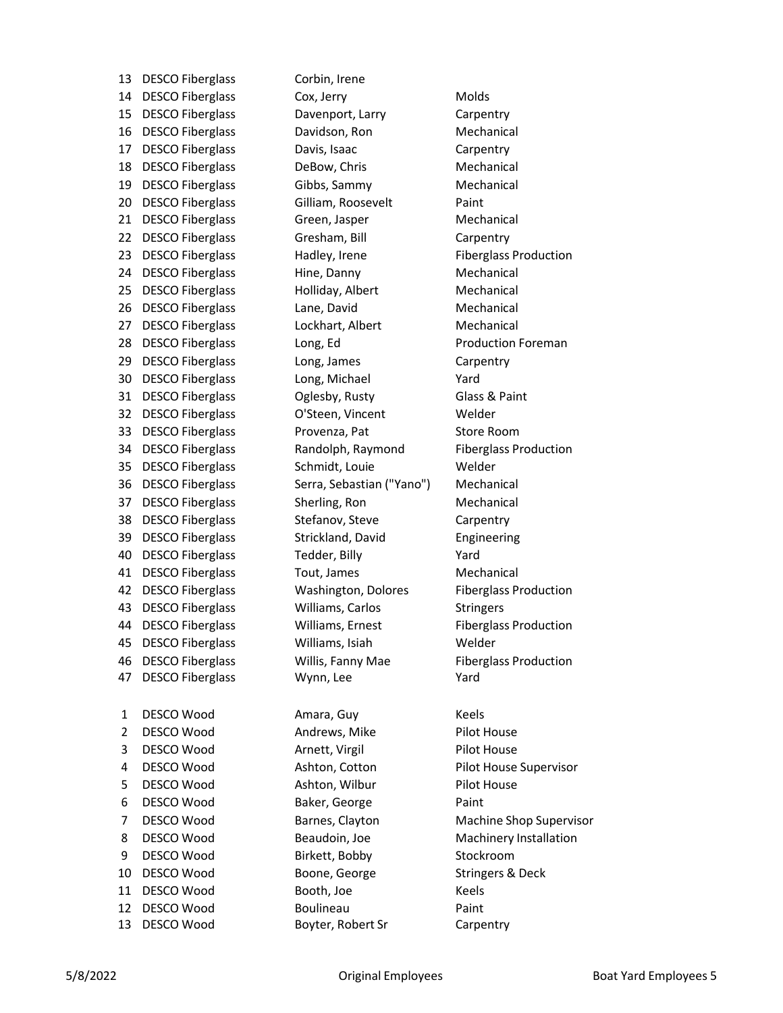13 DESCO Fiberglass Corbin, Irene 14 DESCO Fiberglass Cox, Jerry Cox, Molds 15 DESCO Fiberglass Davenport, Larry Carpentry 16 DESCO Fiberglass Davidson, Ron Mechanical 17 DESCO Fiberglass Davis, Isaac Carpentry 18 DESCO Fiberglass DeBow, Chris Mechanical 19 DESCO Fiberglass Gibbs, Sammy Gibbs, Mechanical 20 DESCO Fiberglass Gilliam, Roosevelt Paint 21 DESCO Fiberglass Green, Jasper Mechanical 22 DESCO Fiberglass Gresham, Bill Garpentry 23 DESCO Fiberglass Fiberglass Hadley, Irene Fiberglass Production 24 DESCO Fiberglass Hine, Danny Mechanical 25 DESCO Fiberglass Holliday, Albert Mechanical 26 DESCO Fiberglass Lane, David Mechanical 27 DESCO Fiberglass Lockhart, Albert Mechanical 28 DESCO Fiberglass Long, Ed Production Foreman 29 DESCO Fiberglass Long, James Carpentry 30 DESCO Fiberglass Long, Michael Yard 31 DESCO Fiberglass Oglesby, Rusty Glass & Paint 32 DESCO Fiberglass O'Steen, Vincent Welder 33 DESCO Fiberglass Provenza, Pat Store Room 34 DESCO Fiberglass Randolph, Raymond Fiberglass Production 35 DESCO Fiberglass Schmidt, Louie Welder 36 DESCO Fiberglass Serra, Sebastian ("Yano") Mechanical 37 DESCO Fiberglass Sherling, Ron Mechanical 38 DESCO Fiberglass Stefanov, Steve Carpentry 39 DESCO Fiberglass Strickland, David Engineering 40 DESCO Fiberglass Tedder, Billy Yard 41 DESCO Fiberglass Tout, James Mechanical 42 DESCO Fiberglass Washington, Dolores Fiberglass Production 43 DESCO Fiberglass Williams, Carlos Stringers 44 DESCO Fiberglass Williams, Ernest Fiberglass Production 45 DESCO Fiberglass Williams, Isiah Welder 46 DESCO Fiberglass Willis, Fanny Mae Fiberglass Production 47 DESCO Fiberglass Wynn, Lee Yard 1 DESCO Wood Amara, Guy Keels 2 DESCO Wood Andrews, Mike Pilot House 3 DESCO Wood **Arnett, Virgil Pilot House** 4 DESCO Wood Ashton, Cotton Pilot House Supervisor 5 DESCO Wood Ashton, Wilbur Pilot House 6 DESCO Wood Baker, George Paint 8 DESCO Wood Beaudoin, Joe Machinery Installation 9 DESCO Wood Birkett, Bobby Stockroom 10 DESCO Wood Boone, George Stringers & Deck 11 DESCO Wood Booth, Joe Keels 12 DESCO Wood Boulineau Paint

13 DESCO Wood Boyter, Robert Sr Carpentry

7 DESCO Wood Barnes, Clayton Machine Shop Supervisor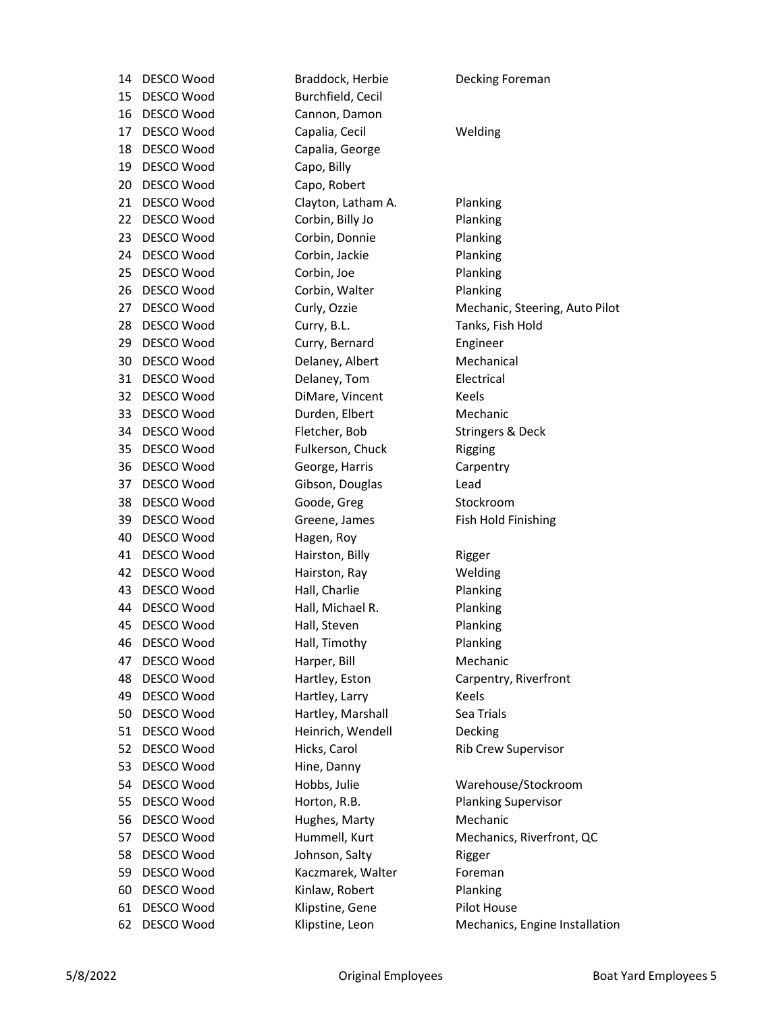| 14 | DESCO Wood | Braddock, Herbie   | Decking Foreman                |
|----|------------|--------------------|--------------------------------|
| 15 | DESCO Wood | Burchfield, Cecil  |                                |
| 16 | DESCO Wood | Cannon, Damon      |                                |
| 17 | DESCO Wood | Capalia, Cecil     | Welding                        |
| 18 | DESCO Wood | Capalia, George    |                                |
| 19 | DESCO Wood | Capo, Billy        |                                |
| 20 | DESCO Wood | Capo, Robert       |                                |
| 21 | DESCO Wood | Clayton, Latham A. | Planking                       |
| 22 | DESCO Wood | Corbin, Billy Jo   | Planking                       |
| 23 | DESCO Wood | Corbin, Donnie     | Planking                       |
| 24 | DESCO Wood | Corbin, Jackie     | Planking                       |
| 25 | DESCO Wood | Corbin, Joe        | Planking                       |
| 26 | DESCO Wood | Corbin, Walter     | Planking                       |
| 27 | DESCO Wood | Curly, Ozzie       | Mechanic, Steering, Auto Pilot |
| 28 | DESCO Wood | Curry, B.L.        | Tanks, Fish Hold               |
| 29 | DESCO Wood | Curry, Bernard     | Engineer                       |
| 30 | DESCO Wood | Delaney, Albert    | Mechanical                     |
| 31 | DESCO Wood | Delaney, Tom       | Electrical                     |
| 32 | DESCO Wood | DiMare, Vincent    | Keels                          |
| 33 | DESCO Wood | Durden, Elbert     | Mechanic                       |
| 34 | DESCO Wood | Fletcher, Bob      | <b>Stringers &amp; Deck</b>    |
| 35 | DESCO Wood | Fulkerson, Chuck   | Rigging                        |
| 36 | DESCO Wood | George, Harris     | Carpentry                      |
| 37 | DESCO Wood | Gibson, Douglas    | Lead                           |
| 38 | DESCO Wood | Goode, Greg        | Stockroom                      |
| 39 | DESCO Wood | Greene, James      | Fish Hold Finishing            |
| 40 | DESCO Wood | Hagen, Roy         |                                |
| 41 | DESCO Wood | Hairston, Billy    | Rigger                         |
| 42 | DESCO Wood | Hairston, Ray      | Welding                        |
| 43 | DESCO Wood | Hall, Charlie      | Planking                       |
| 44 | DESCO Wood | Hall, Michael R.   | Planking                       |
| 45 | DESCO Wood | Hall, Steven       | Planking                       |
| 46 | DESCO Wood | Hall, Timothy      | <b>Planking</b>                |
| 47 | DESCO Wood | Harper, Bill       | Mechanic                       |
| 48 | DESCO Wood | Hartley, Eston     | Carpentry, Riverfront          |
| 49 | DESCO Wood | Hartley, Larry     | Keels                          |
| 50 | DESCO Wood | Hartley, Marshall  | Sea Trials                     |
| 51 | DESCO Wood | Heinrich, Wendell  | Decking                        |
| 52 | DESCO Wood | Hicks, Carol       | Rib Crew Supervisor            |
| 53 | DESCO Wood | Hine, Danny        |                                |
| 54 | DESCO Wood | Hobbs, Julie       | Warehouse/Stockroom            |
| 55 | DESCO Wood | Horton, R.B.       | <b>Planking Supervisor</b>     |
| 56 | DESCO Wood | Hughes, Marty      | Mechanic                       |
| 57 | DESCO Wood | Hummell, Kurt      | Mechanics, Riverfront, QC      |
| 58 | DESCO Wood | Johnson, Salty     | Rigger                         |
| 59 | DESCO Wood | Kaczmarek, Walter  | Foreman                        |
| 60 | DESCO Wood | Kinlaw, Robert     | Planking                       |
| 61 | DESCO Wood | Klipstine, Gene    | Pilot House                    |
| 62 | DESCO Wood | Klipstine, Leon    | Mechanics, Engine Installation |